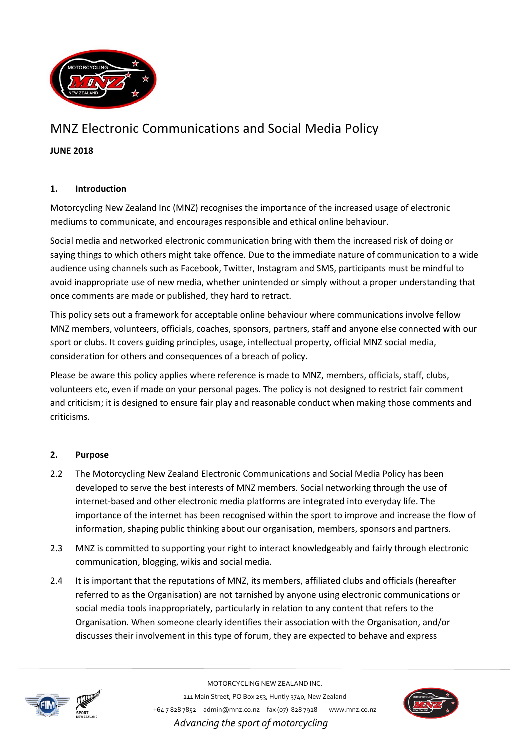

# MNZ Electronic Communications and Social Media Policy

**JUNE 2018**

## **1. Introduction**

Motorcycling New Zealand Inc (MNZ) recognises the importance of the increased usage of electronic mediums to communicate, and encourages responsible and ethical online behaviour.

Social media and networked electronic communication bring with them the increased risk of doing or saying things to which others might take offence. Due to the immediate nature of communication to a wide audience using channels such as Facebook, Twitter, Instagram and SMS, participants must be mindful to avoid inappropriate use of new media, whether unintended or simply without a proper understanding that once comments are made or published, they hard to retract.

This policy sets out a framework for acceptable online behaviour where communications involve fellow MNZ members, volunteers, officials, coaches, sponsors, partners, staff and anyone else connected with our sport or clubs. It covers guiding principles, usage, intellectual property, official MNZ social media, consideration for others and consequences of a breach of policy.

Please be aware this policy applies where reference is made to MNZ, members, officials, staff, clubs, volunteers etc, even if made on your personal pages. The policy is not designed to restrict fair comment and criticism; it is designed to ensure fair play and reasonable conduct when making those comments and criticisms.

### **2. Purpose**

- 2.2 The Motorcycling New Zealand Electronic Communications and Social Media Policy has been developed to serve the best interests of MNZ members. Social networking through the use of internet-based and other electronic media platforms are integrated into everyday life. The importance of the internet has been recognised within the sport to improve and increase the flow of information, shaping public thinking about our organisation, members, sponsors and partners.
- 2.3 MNZ is committed to supporting your right to interact knowledgeably and fairly through electronic communication, blogging, wikis and social media.
- 2.4 It is important that the reputations of MNZ, its members, affiliated clubs and officials (hereafter referred to as the Organisation) are not tarnished by anyone using electronic communications or social media tools inappropriately, particularly in relation to any content that refers to the Organisation. When someone clearly identifies their association with the Organisation, and/or discusses their involvement in this type of forum, they are expected to behave and express



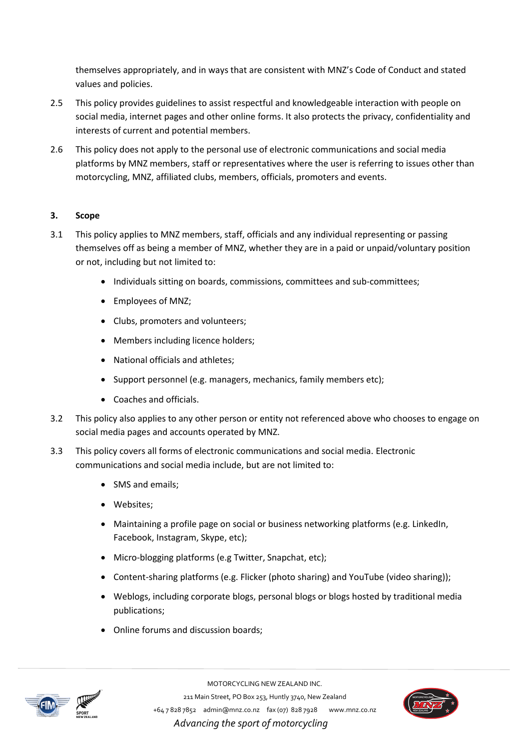themselves appropriately, and in ways that are consistent with MNZ's Code of Conduct and stated values and policies.

- 2.5 This policy provides guidelines to assist respectful and knowledgeable interaction with people on social media, internet pages and other online forms. It also protects the privacy, confidentiality and interests of current and potential members.
- 2.6 This policy does not apply to the personal use of electronic communications and social media platforms by MNZ members, staff or representatives where the user is referring to issues other than motorcycling, MNZ, affiliated clubs, members, officials, promoters and events.

## **3. Scope**

- 3.1 This policy applies to MNZ members, staff, officials and any individual representing or passing themselves off as being a member of MNZ, whether they are in a paid or unpaid/voluntary position or not, including but not limited to:
	- Individuals sitting on boards, commissions, committees and sub-committees;
	- Employees of MNZ;
	- Clubs, promoters and volunteers;
	- Members including licence holders;
	- National officials and athletes:
	- Support personnel (e.g. managers, mechanics, family members etc);
	- Coaches and officials.
- 3.2 This policy also applies to any other person or entity not referenced above who chooses to engage on social media pages and accounts operated by MNZ.
- 3.3 This policy covers all forms of electronic communications and social media. Electronic communications and social media include, but are not limited to:
	- SMS and emails:
	- Websites;
	- Maintaining a profile page on social or business networking platforms (e.g. LinkedIn, Facebook, Instagram, Skype, etc);
	- Micro-blogging platforms (e.g Twitter, Snapchat, etc);
	- Content-sharing platforms (e.g. Flicker (photo sharing) and YouTube (video sharing));
	- Weblogs, including corporate blogs, personal blogs or blogs hosted by traditional media publications;
	- Online forums and discussion boards:



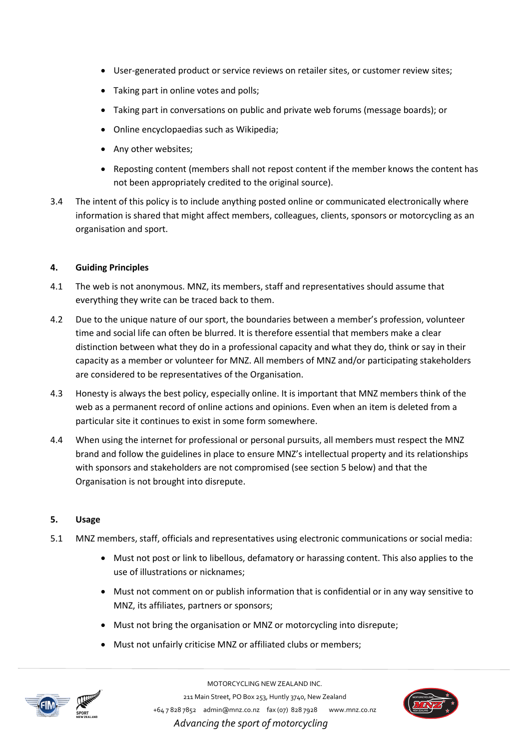- User-generated product or service reviews on retailer sites, or customer review sites;
- Taking part in online votes and polls;
- Taking part in conversations on public and private web forums (message boards); or
- Online encyclopaedias such as Wikipedia;
- Any other websites;
- Reposting content (members shall not repost content if the member knows the content has not been appropriately credited to the original source).
- 3.4 The intent of this policy is to include anything posted online or communicated electronically where information is shared that might affect members, colleagues, clients, sponsors or motorcycling as an organisation and sport.

### **4. Guiding Principles**

- 4.1 The web is not anonymous. MNZ, its members, staff and representatives should assume that everything they write can be traced back to them.
- 4.2 Due to the unique nature of our sport, the boundaries between a member's profession, volunteer time and social life can often be blurred. It is therefore essential that members make a clear distinction between what they do in a professional capacity and what they do, think or say in their capacity as a member or volunteer for MNZ. All members of MNZ and/or participating stakeholders are considered to be representatives of the Organisation.
- 4.3 Honesty is always the best policy, especially online. It is important that MNZ members think of the web as a permanent record of online actions and opinions. Even when an item is deleted from a particular site it continues to exist in some form somewhere.
- 4.4 When using the internet for professional or personal pursuits, all members must respect the MNZ brand and follow the guidelines in place to ensure MNZ's intellectual property and its relationships with sponsors and stakeholders are not compromised (see section 5 below) and that the Organisation is not brought into disrepute.

### **5. Usage**

- 5.1 MNZ members, staff, officials and representatives using electronic communications or social media:
	- Must not post or link to libellous, defamatory or harassing content. This also applies to the use of illustrations or nicknames;
	- Must not comment on or publish information that is confidential or in any way sensitive to MNZ, its affiliates, partners or sponsors;
	- Must not bring the organisation or MNZ or motorcycling into disrepute;
	- Must not unfairly criticise MNZ or affiliated clubs or members;





MOTORCYCLING NEW ZEALAND INC.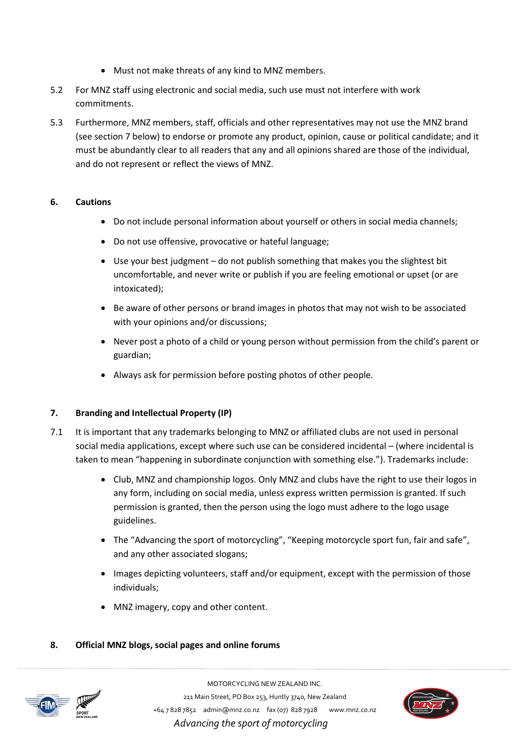- Must not make threats of any kind to MNZ members.
- 5.2 For MNZ staff using electronic and social media, such use must not interfere with work commitments.
- 5.3 Furthermore, MNZ members, staff, officials and other representatives may not use the MNZ brand (see section 7 below) to endorse or promote any product, opinion, cause or political candidate; and it must be abundantly clear to all readers that any and all opinions shared are those of the individual, and do not represent or reflect the views of MNZ.

### **6. Cautions**

- Do not include personal information about yourself or others in social media channels;
- Do not use offensive, provocative or hateful language;
- Use your best judgment do not publish something that makes you the slightest bit uncomfortable, and never write or publish if you are feeling emotional or upset (or are intoxicated);
- **Be aware of other persons or brand images in photos that may not wish to be associated** with your opinions and/or discussions;
- Never post a photo of a child or young person without permission from the child's parent or guardian;
- Always ask for permission before posting photos of other people.

## **7. Branding and Intellectual Property (IP)**

- 7.1 It is important that any trademarks belonging to MNZ or affiliated clubs are not used in personal social media applications, except where such use can be considered incidental – (where incidental is taken to mean "happening in subordinate conjunction with something else."). Trademarks include:
	- Club, MNZ and championship logos. Only MNZ and clubs have the right to use their logos in any form, including on social media, unless express written permission is granted. If such permission is granted, then the person using the logo must adhere to the logo usage guidelines.
	- The "Advancing the sport of motorcycling", "Keeping motorcycle sport fun, fair and safe", and any other associated slogans;
	- Images depicting volunteers, staff and/or equipment, except with the permission of those individuals;
	- MNZ imagery, copy and other content.

## **8. Official MNZ blogs, social pages and online forums**



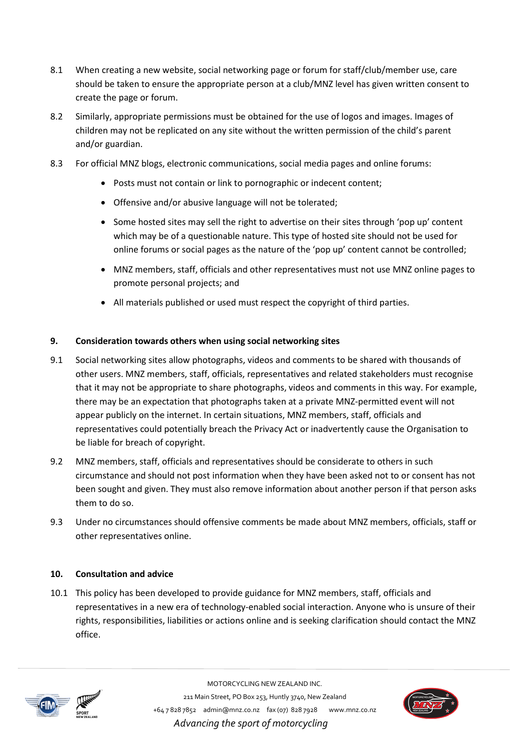- 8.1 When creating a new website, social networking page or forum for staff/club/member use, care should be taken to ensure the appropriate person at a club/MNZ level has given written consent to create the page or forum.
- 8.2 Similarly, appropriate permissions must be obtained for the use of logos and images. Images of children may not be replicated on any site without the written permission of the child's parent and/or guardian.
- 8.3 For official MNZ blogs, electronic communications, social media pages and online forums:
	- Posts must not contain or link to pornographic or indecent content;
	- Offensive and/or abusive language will not be tolerated;
	- Some hosted sites may sell the right to advertise on their sites through 'pop up' content which may be of a questionable nature. This type of hosted site should not be used for online forums or social pages as the nature of the 'pop up' content cannot be controlled;
	- MNZ members, staff, officials and other representatives must not use MNZ online pages to promote personal projects; and
	- All materials published or used must respect the copyright of third parties.

### **9. Consideration towards others when using social networking sites**

- 9.1 Social networking sites allow photographs, videos and comments to be shared with thousands of other users. MNZ members, staff, officials, representatives and related stakeholders must recognise that it may not be appropriate to share photographs, videos and comments in this way. For example, there may be an expectation that photographs taken at a private MNZ-permitted event will not appear publicly on the internet. In certain situations, MNZ members, staff, officials and representatives could potentially breach the Privacy Act or inadvertently cause the Organisation to be liable for breach of copyright.
- 9.2 MNZ members, staff, officials and representatives should be considerate to others in such circumstance and should not post information when they have been asked not to or consent has not been sought and given. They must also remove information about another person if that person asks them to do so.
- 9.3 Under no circumstances should offensive comments be made about MNZ members, officials, staff or other representatives online.

### **10. Consultation and advice**

10.1 This policy has been developed to provide guidance for MNZ members, staff, officials and representatives in a new era of technology-enabled social interaction. Anyone who is unsure of their rights, responsibilities, liabilities or actions online and is seeking clarification should contact the MNZ office.